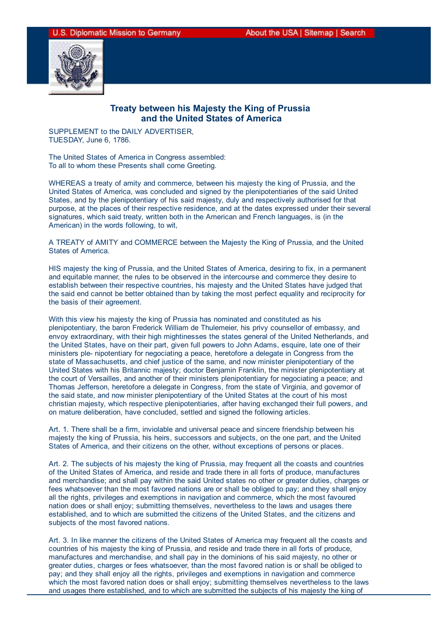

## Treaty between his Majesty the King of Prussia and the United States of America

SUPPLEMENT to the DAILY ADVERTISER, TUESDAY, June 6, 1786.

The United States of America in Congress assembled: To all to whom these Presents shall come Greeting.

WHEREAS a treaty of amity and commerce, between his majesty the king of Prussia, and the United States of America, was concluded and signed by the plenipotentiaries of the said United States, and by the plenipotentiary of his said majesty, duly and respectively authorised for that purpose, at the places of their respective residence, and at the dates expressed under their several signatures, which said treaty, written both in the American and French languages, is (in the American) in the words following, to wit,

A TREATY of AMITY and COMMERCE between the Majesty the King of Prussia, and the United States of America.

HIS majesty the king of Prussia, and the United States of America, desiring to fix, in a permanent and equitable manner, the rules to be observed in the intercourse and commerce they desire to establish between their respective countries, his majesty and the United States have judged that the said end cannot be better obtained than by taking the most perfect equality and reciprocity for the basis of their agreement.

With this view his majesty the king of Prussia has nominated and constituted as his plenipotentiary, the baron Frederick William de Thulemeier, his privy counsellor of embassy, and envoy extraordinary, with their high mightinesses the states general of the United Netherlands, and the United States, have on their part, given full powers to John Adams, esquire, late one of their ministers ple nipotentiary for negociating a peace, heretofore a delegate in Congress from the state of Massachusetts, and chief justice of the same, and now minister plenipotentiary of the United States with his Britannic majesty; doctor Benjamin Franklin, the minister plenipotentiary at the court of Versailles, and another of their ministers plenipotentiary for negociating a peace; and Thomas Jefferson, heretofore a delegate in Congress, from the state of Virginia, and governor of the said state, and now minister plenipotentiary of the United States at the court of his most christian majesty, which respective plenipotentiaries, after having exchanged their full powers, and on mature deliberation, have concluded, settled and signed the following articles.

Art. 1. There shall be a firm, inviolable and universal peace and sincere friendship between his majesty the king of Prussia, his heirs, successors and subjects, on the one part, and the United States of America, and their citizens on the other, without exceptions of persons or places.

Art. 2. The subjects of his majesty the king of Prussia, may frequent all the coasts and countries of the United States of America, and reside and trade there in all forts of produce, manufactures and merchandise; and shall pay within the said United states no other or greater duties, charges or fees whatsoever than the most favored nations are or shall be obliged to pay; and they shall enjoy all the rights, privileges and exemptions in navigation and commerce, which the most favoured nation does or shall enjoy; submitting themselves, nevertheless to the laws and usages there established, and to which are submitted the citizens of the United States, and the citizens and subjects of the most favored nations.

Art. 3. In like manner the citizens of the United States of America may frequent all the coasts and countries of his majesty the king of Prussia, and reside and trade there in all forts of produce, manufactures and merchandise, and shall pay in the dominions of his said majesty, no other or greater duties, charges or fees whatsoever, than the most favored nation is or shall be obliged to pay; and they shall enjoy all the rights, privileges and exemptions in navigation and commerce which the most favored nation does or shall enjoy; submitting themselves nevertheless to the laws and usages there established, and to which are submitted the subjects of his majesty the king of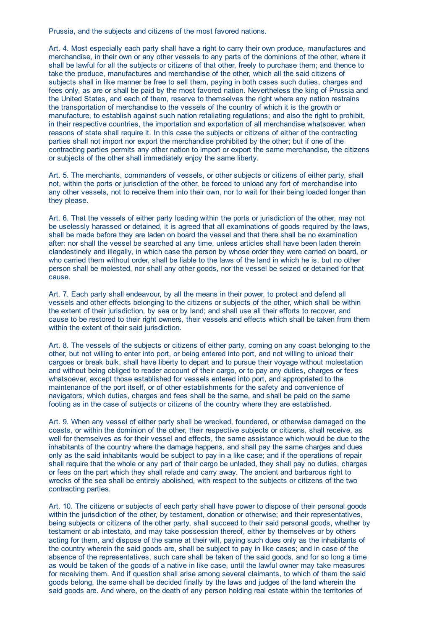Prussia, and the subjects and citizens of the most favored nations.

Art. 4. Most especially each party shall have a right to carry their own produce, manufactures and merchandise, in their own or any other vessels to any parts of the dominions of the other, where it shall be lawful for all the subjects or citizens of that other, freely to purchase them; and thence to take the produce, manufactures and merchandise of the other, which all the said citizens of subjects shall in like manner be free to sell them, paying in both cases such duties, charges and fees only, as are or shall be paid by the most favored nation. Nevertheless the king of Prussia and the United States, and each of them, reserve to themselves the right where any nation restrains the transportation of merchandise to the vessels of the country of which it is the growth or manufacture, to establish against such nation retaliating regulations; and also the right to prohibit, in their respective countries, the importation and exportation of all merchandise whatsoever, when reasons of state shall require it. In this case the subjects or citizens of either of the contracting parties shall not import nor export the merchandise prohibited by the other; but if one of the contracting parties permits any other nation to import or export the same merchandise, the citizens or subjects of the other shall immediately enjoy the same liberty.

Art. 5. The merchants, commanders of vessels, or other subjects or citizens of either party, shall not, within the ports or jurisdiction of the other, be forced to unload any fort of merchandise into any other vessels, not to receive them into their own, nor to wait for their being loaded longer than they please.

Art. 6. That the vessels of either party loading within the ports or jurisdiction of the other, may not be uselessly harassed or detained, it is agreed that all examinations of goods required by the laws, shall be made before they are laden on board the vessel and that there shall be no examination after: nor shall the vessel be searched at any time, unless articles shall have been laden therein clandestinely and illegally, in which case the person by whose order they were carried on board, or who carried them without order, shall be liable to the laws of the land in which he is, but no other person shall be molested, nor shall any other goods, nor the vessel be seized or detained for that cause.

Art. 7. Each party shall endeavour, by all the means in their power, to protect and defend all vessels and other effects belonging to the citizens or subjects of the other, which shall be within the extent of their jurisdiction, by sea or by land; and shall use all their efforts to recover, and cause to be restored to their right owners, their vessels and effects which shall be taken from them within the extent of their said jurisdiction.

Art. 8. The vessels of the subjects or citizens of either party, coming on any coast belonging to the other, but not willing to enter into port, or being entered into port, and not willing to unload their cargoes or break bulk, shall have liberty to depart and to pursue their voyage without molestation and without being obliged to reader account of their cargo, or to pay any duties, charges or fees whatsoever, except those established for vessels entered into port, and appropriated to the maintenance of the port itself, or of other establishments for the safety and convenience of navigators, which duties, charges and fees shall be the same, and shall be paid on the same footing as in the case of subjects or citizens of the country where they are established.

Art. 9. When any vessel of either party shall be wrecked, foundered, or otherwise damaged on the coasts, or within the dominion of the other, their respective subjects or citizens, shall receive, as well for themselves as for their vessel and effects, the same assistance which would be due to the inhabitants of the country where the damage happens, and shall pay the same charges and dues only as the said inhabitants would be subject to pay in a like case; and if the operations of repair shall require that the whole or any part of their cargo be unladed, they shall pay no duties, charges or fees on the part which they shall relade and carry away. The ancient and barbarous right to wrecks of the sea shall be entirely abolished, with respect to the subjects or citizens of the two contracting parties.

Art. 10. The citizens or subjects of each party shall have power to dispose of their personal goods within the jurisdiction of the other, by testament, donation or otherwise; and their representatives, being subjects or citizens of the other party, shall succeed to their said personal goods, whether by testament or ab intestato, and may take possession thereof, either by themselves or by others acting for them, and dispose of the same at their will, paying such dues only as the inhabitants of the country wherein the said goods are, shall be subject to pay in like cases; and in case of the absence of the representatives, such care shall be taken of the said goods, and for so long a time as would be taken of the goods of a native in like case, until the lawful owner may take measures for receiving them. And if question shall arise among several claimants, to which of them the said goods belong, the same shall be decided finally by the laws and judges of the land wherein the said goods are. And where, on the death of any person holding real estate within the territories of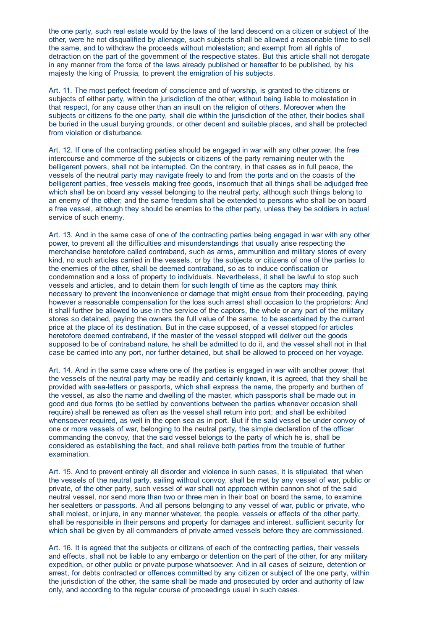the one party, such real estate would by the laws of the land descend on a citizen or subject of the other, were he not disqualified by alienage, such subjects shall be allowed a reasonable time to sell the same, and to withdraw the proceeds without molestation; and exempt from all rights of detraction on the part of the government of the respective states. But this article shall not derogate in any manner from the force of the laws already published or hereafter to be published, by his majesty the king of Prussia, to prevent the emigration of his subjects.

Art. 11. The most perfect freedom of conscience and of worship, is granted to the citizens or subjects of either party, within the jurisdiction of the other, without being liable to molestation in that respect, for any cause other than an insult on the religion of others. Moreover when the subjects or citizens fo the one party, shall die within the jurisdiction of the other, their bodies shall be buried in the usual burying grounds, or other decent and suitable places, and shall be protected from violation or disturbance.

Art. 12. If one of the contracting parties should be engaged in war with any other power, the free intercourse and commerce of the subjects or citizens of the party remaining neuter with the belligerent powers, shall not be interrupted. On the contrary, in that cases as in full peace, the vessels of the neutral party may navigate freely to and from the ports and on the coasts of the belligerent parties, free vessels making free goods, insomuch that all things shall be adjudged free which shall be on board any vessel belonging to the neutral party, although such things belong to an enemy of the other; and the same freedom shall be extended to persons who shall be on board a free vessel, although they should be enemies to the other party, unless they be soldiers in actual service of such enemy.

Art. 13. And in the same case of one of the contracting parties being engaged in war with any other power, to prevent all the difficulties and misunderstandings that usually arise respecting the merchandise heretofore called contraband, such as arms, ammunition and military stores of every kind, no such articles carried in the vessels, or by the subjects or citizens of one of the parties to the enemies of the other, shall be deemed contraband, so as to induce confiscation or condemnation and a loss of property to individuals. Nevertheless, it shall be lawful to stop such vessels and articles, and to detain them for such length of time as the captors may think necessary to prevent the inconvenience or damage that might ensue from their proceeding, paying however a reasonable compensation for the loss such arrest shall occasion to the proprietors: And it shall further be allowed to use in the service of the captors, the whole or any part of the military stores so detained, paying the owners the full value of the same, to be ascertained by the current price at the place of its destination. But in the case supposed, of a vessel stopped for articles heretofore deemed contraband, if the master of the vessel stopped will deliver out the goods supposed to be of contraband nature, he shall be admitted to do it, and the vessel shall not in that case be carried into any port, nor further detained, but shall be allowed to proceed on her voyage.

Art. 14. And in the same case where one of the parties is engaged in war with another power, that the vessels of the neutral party may be readily and certainly known, it is agreed, that they shall be provided with sealetters or passports, which shall express the name, the property and burthen of the vessel, as also the name and dwelling of the master, which passports shall be made out in good and due forms (to be settled by conventions between the parties whenever occasion shall require) shall be renewed as often as the vessel shall return into port; and shall be exhibited whensoever required, as well in the open sea as in port. But if the said vessel be under convoy of one or more vessels of war, belonging to the neutral party, the simple declaration of the officer commanding the convoy, that the said vessel belongs to the party of which he is, shall be considered as establishing the fact, and shall relieve both parties from the trouble of further examination.

Art. 15. And to prevent entirely all disorder and violence in such cases, it is stipulated, that when the vessels of the neutral party, sailing without convoy, shall be met by any vessel of war, public or private, of the other party, such vessel of war shall not approach within cannon shot of the said neutral vessel, nor send more than two or three men in their boat on board the same, to examine her sealetters or passports. And all persons belonging to any vessel of war, public or private, who shall molest, or injure, in any manner whatever, the people, vessels or effects of the other party, shall be responsible in their persons and property for damages and interest, sufficient security for which shall be given by all commanders of private armed vessels before they are commissioned.

Art. 16. It is agreed that the subjects or citizens of each of the contracting parties, their vessels and effects, shall not be liable to any embargo or detention on the part of the other, for any military expedition, or other public or private purpose whatsoever. And in all cases of seizure, detention or arrest, for debts contracted or offences committed by any citizen or subject of the one party, within the jurisdiction of the other, the same shall be made and prosecuted by order and authority of law only, and according to the regular course of proceedings usual in such cases.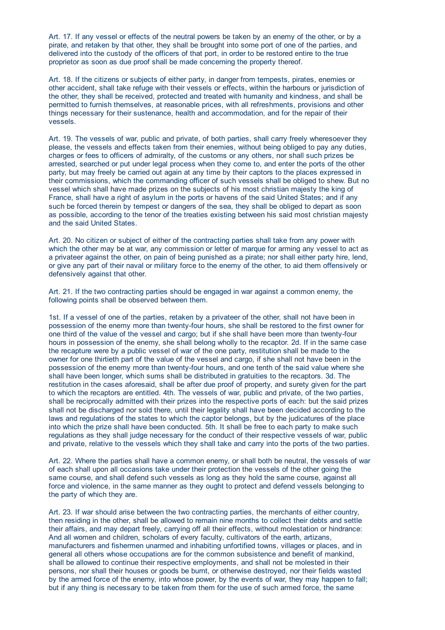Art. 17. If any vessel or effects of the neutral powers be taken by an enemy of the other, or by a pirate, and retaken by that other, they shall be brought into some port of one of the parties, and delivered into the custody of the officers of that port, in order to be restored entire to the true proprietor as soon as due proof shall be made concerning the property thereof.

Art. 18. If the citizens or subjects of either party, in danger from tempests, pirates, enemies or other accident, shall take refuge with their vessels or effects, within the harbours or jurisdiction of the other, they shall be received, protected and treated with humanity and kindness, and shall be permitted to furnish themselves, at reasonable prices, with all refreshments, provisions and other things necessary for their sustenance, health and accommodation, and for the repair of their vessels.

Art. 19. The vessels of war, public and private, of both parties, shall carry freely wheresoever they please, the vessels and effects taken from their enemies, without being obliged to pay any duties, charges or fees to officers of admiralty, of the customs or any others, nor shall such prizes be arrested, searched or put under legal process when they come to, and enter the ports of the other party, but may freely be carried out again at any time by their captors to the places expressed in their commissions, which the commanding officer of such vessels shall be obliged to shew. But no vessel which shall have made prizes on the subjects of his most christian majesty the king of France, shall have a right of asylum in the ports or havens of the said United States; and if any such be forced therein by tempest or dangers of the sea, they shall be obliged to depart as soon as possible, according to the tenor of the treaties existing between his said most christian majesty and the said United States.

Art. 20. No citizen or subject of either of the contracting parties shall take from any power with which the other may be at war, any commission or letter of marque for arming any vessel to act as a privateer against the other, on pain of being punished as a pirate; nor shall either party hire, lend, or give any part of their naval or military force to the enemy of the other, to aid them offensively or defensively against that other.

Art. 21. If the two contracting parties should be engaged in war against a common enemy, the following points shall be observed between them.

1st. If a vessel of one of the parties, retaken by a privateer of the other, shall not have been in possession of the enemy more than twenty-four hours, she shall be restored to the first owner for one third of the value of the vessel and cargo; but if she shall have been more than twenty-four hours in possession of the enemy, she shall belong wholly to the recaptor. 2d. If in the same case the recapture were by a public vessel of war of the one party, restitution shall be made to the owner for one thirtieth part of the value of the vessel and cargo, if she shall not have been in the possession of the enemy more than twenty-four hours, and one tenth of the said value where she shall have been longer, which sums shall be distributed in gratuities to the recaptors. 3d. The restitution in the cases aforesaid, shall be after due proof of property, and surety given for the part to which the recaptors are entitled. 4th. The vessels of war, public and private, of the two parties, shall be reciprocally admitted with their prizes into the respective ports of each: but the said prizes shall not be discharged nor sold there, until their legality shall have been decided according to the laws and regulations of the states to which the captor belongs, but by the judicatures of the place into which the prize shall have been conducted. 5th. It shall be free to each party to make such regulations as they shall judge necessary for the conduct of their respective vessels of war, public and private, relative to the vessels which they shall take and carry into the ports of the two parties.

Art. 22. Where the parties shall have a common enemy, or shall both be neutral, the vessels of war of each shall upon all occasions take under their protection the vessels of the other going the same course, and shall defend such vessels as long as they hold the same course, against all force and violence, in the same manner as they ought to protect and defend vessels belonging to the party of which they are.

Art. 23. If war should arise between the two contracting parties, the merchants of either country, then residing in the other, shall be allowed to remain nine months to collect their debts and settle their affairs, and may depart freely, carrying off all their effects, without molestation or hindrance: And all women and children, scholars of every faculty, cultivators of the earth, artizans, manufacturers and fishermen unarmed and inhabiting unfortified towns, villages or places, and in general all others whose occupations are for the common subsistence and benefit of mankind, shall be allowed to continue their respective employments, and shall not be molested in their persons, nor shall their houses or goods be burnt, or otherwise destroyed, nor their fields wasted by the armed force of the enemy, into whose power, by the events of war, they may happen to fall; but if any thing is necessary to be taken from them for the use of such armed force, the same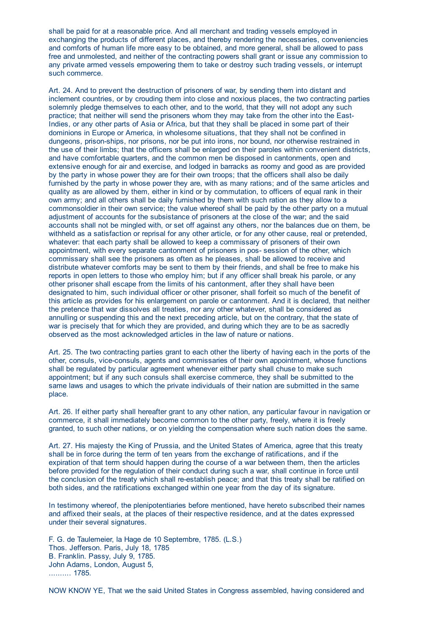shall be paid for at a reasonable price. And all merchant and trading vessels employed in exchanging the products of different places, and thereby rendering the necessaries, conveniencies and comforts of human life more easy to be obtained, and more general, shall be allowed to pass free and unmolested, and neither of the contracting powers shall grant or issue any commission to any private armed vessels empowering them to take or destroy such trading vessels, or interrupt such commerce.

Art. 24. And to prevent the destruction of prisoners of war, by sending them into distant and inclement countries, or by crouding them into close and noxious places, the two contracting parties solemnly pledge themselves to each other, and to the world, that they will not adopt any such practice; that neither will send the prisoners whom they may take from the other into the East-Indies, or any other parts of Asia or Africa, but that they shall be placed in some part of their dominions in Europe or America, in wholesome situations, that they shall not be confined in dungeons, prison-ships, nor prisons, nor be put into irons, nor bound, nor otherwise restrained in the use of their limbs; that the officers shall be enlarged on their paroles within convenient districts, and have comfortable quarters, and the common men be disposed in cantonments, open and extensive enough for air and exercise, and lodged in barracks as roomy and good as are provided by the party in whose power they are for their own troops; that the officers shall also be daily furnished by the party in whose power they are, with as many rations; and of the same articles and quality as are allowed by them, either in kind or by commutation, to officers of equal rank in their own army; and all others shall be daily furnished by them with such ration as they allow to a commonsoldier in their own service; the value whereof shall be paid by the other party on a mutual adjustment of accounts for the subsistance of prisoners at the close of the war; and the said accounts shall not be mingled with, or set off against any others, nor the balances due on them, be withheld as a satisfaction or reprisal for any other article, or for any other cause, real or pretended, whatever: that each party shall be allowed to keep a commissary of prisoners of their own appointment, with every separate cantonment of prisoners in pos- session of the other, which commissary shall see the prisoners as often as he pleases, shall be allowed to receive and distribute whatever comforts may be sent to them by their friends, and shall be free to make his reports in open letters to those who employ him; but if any officer shall break his parole, or any other prisoner shall escape from the limits of his cantonment, after they shall have been designated to him, such individual officer or other prisoner, shall forfeit so much of the benefit of this article as provides for his enlargement on parole or cantonment. And it is declared, that neither the pretence that war dissolves all treaties, nor any other whatever, shall be considered as annulling or suspending this and the next preceding article, but on the contrary, that the state of war is precisely that for which they are provided, and during which they are to be as sacredly observed as the most acknowledged articles in the law of nature or nations.

Art. 25. The two contracting parties grant to each other the liberty of having each in the ports of the other, consuls, vice-consuls, agents and commissaries of their own appointment, whose functions shall be regulated by particular agreement whenever either party shall chuse to make such appointment; but if any such consuls shall exercise commerce, they shall be submitted to the same laws and usages to which the private individuals of their nation are submitted in the same place.

Art. 26. If either party shall hereafter grant to any other nation, any particular favour in navigation or commerce, it shall immediately become common to the other party, freely, where it is freely granted, to such other nations, or on yielding the compensation where such nation does the same.

Art. 27. His majesty the King of Prussia, and the United States of America, agree that this treaty shall be in force during the term of ten years from the exchange of ratifications, and if the expiration of that term should happen during the course of a war between them, then the articles before provided for the regulation of their conduct during such a war, shall continue in force until the conclusion of the treaty which shall re-establish peace; and that this treaty shall be ratified on both sides, and the ratifications exchanged within one year from the day of its signature.

In testimony whereof, the plenipotentiaries before mentioned, have hereto subscribed their names and affixed their seals, at the places of their respective residence, and at the dates expressed under their several signatures.

F. G. de Taulemeier, la Hage de 10 Septembre, 1785. (L.S.) Thos. Jefferson. Paris, July 18, 1785 B. Franklin. Passy, July 9, 1785. John Adams, London, August 5, .......... 1785.

NOW KNOW YE, That we the said United States in Congress assembled, having considered and